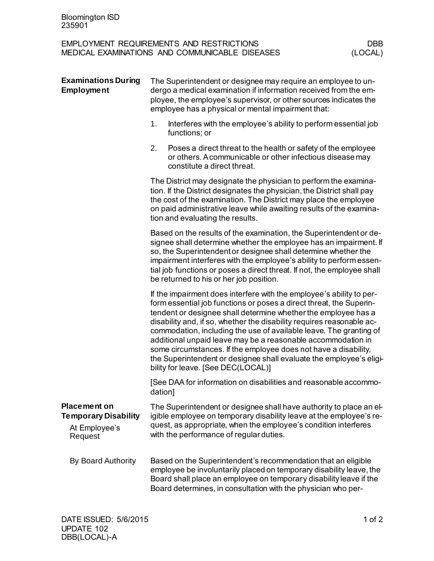| <b>EMPLOYMENT REQUIREMENTS AND RESTRICTIONS</b> | DBB     |
|-------------------------------------------------|---------|
| MEDICAL EXAMINATIONS AND COMMUNICABLE DISEASES  | (LOCAL) |

| <b>Examinations During</b><br><b>Employment</b>                                | The Superintendent or designee may require an employee to un-<br>dergo a medical examination if information received from the em-<br>ployee, the employee's supervisor, or other sources indicates the<br>employee has a physical or mental impairment that:                                                                                                                                                                                                                                                                                                                                                 |  |  |
|--------------------------------------------------------------------------------|--------------------------------------------------------------------------------------------------------------------------------------------------------------------------------------------------------------------------------------------------------------------------------------------------------------------------------------------------------------------------------------------------------------------------------------------------------------------------------------------------------------------------------------------------------------------------------------------------------------|--|--|
|                                                                                | 1.<br>Interferes with the employee's ability to perform essential job<br>functions; or                                                                                                                                                                                                                                                                                                                                                                                                                                                                                                                       |  |  |
|                                                                                | 2.<br>Poses a direct threat to the health or safety of the employee<br>or others. A communicable or other infectious disease may<br>constitute a direct threat.                                                                                                                                                                                                                                                                                                                                                                                                                                              |  |  |
|                                                                                | The District may designate the physician to perform the examina-<br>tion. If the District designates the physician, the District shall pay<br>the cost of the examination. The District may place the employee<br>on paid administrative leave while awaiting results of the examina-<br>tion and evaluating the results.                                                                                                                                                                                                                                                                                    |  |  |
|                                                                                | Based on the results of the examination, the Superintendent or de-<br>signee shall determine whether the employee has an impairment. If<br>so, the Superintendent or designee shall determine whether the<br>impairment interferes with the employee's ability to perform essen-<br>tial job functions or poses a direct threat. If not, the employee shall<br>be returned to his or her job position.                                                                                                                                                                                                       |  |  |
|                                                                                | If the impairment does interfere with the employee's ability to per-<br>form essential job functions or poses a direct threat, the Superin-<br>tendent or designee shall determine whether the employee has a<br>disability and, if so, whether the disability requires reasonable ac-<br>commodation, including the use of available leave. The granting of<br>additional unpaid leave may be a reasonable accommodation in<br>some circumstances. If the employee does not have a disability,<br>the Superintendent or designee shall evaluate the employee's eligi-<br>bility for leave. [See DEC(LOCAL)] |  |  |
|                                                                                | [See DAA for information on disabilities and reasonable accommo-<br>dation]                                                                                                                                                                                                                                                                                                                                                                                                                                                                                                                                  |  |  |
| <b>Placement on</b><br><b>Temporary Disability</b><br>At Employee's<br>Request | The Superintendent or designee shall have authority to place an el-<br>igible employee on temporary disability leave at the employee's re-<br>quest, as appropriate, when the employee's condition interferes<br>with the performance of regular duties.                                                                                                                                                                                                                                                                                                                                                     |  |  |
| By Board Authority                                                             | Based on the Superintendent's recommendation that an eligible<br>employee be involuntarily placed on temporary disability leave, the<br>Board shall place an employee on temporary disability leave if the<br>Board determines, in consultation with the physician who per-                                                                                                                                                                                                                                                                                                                                  |  |  |